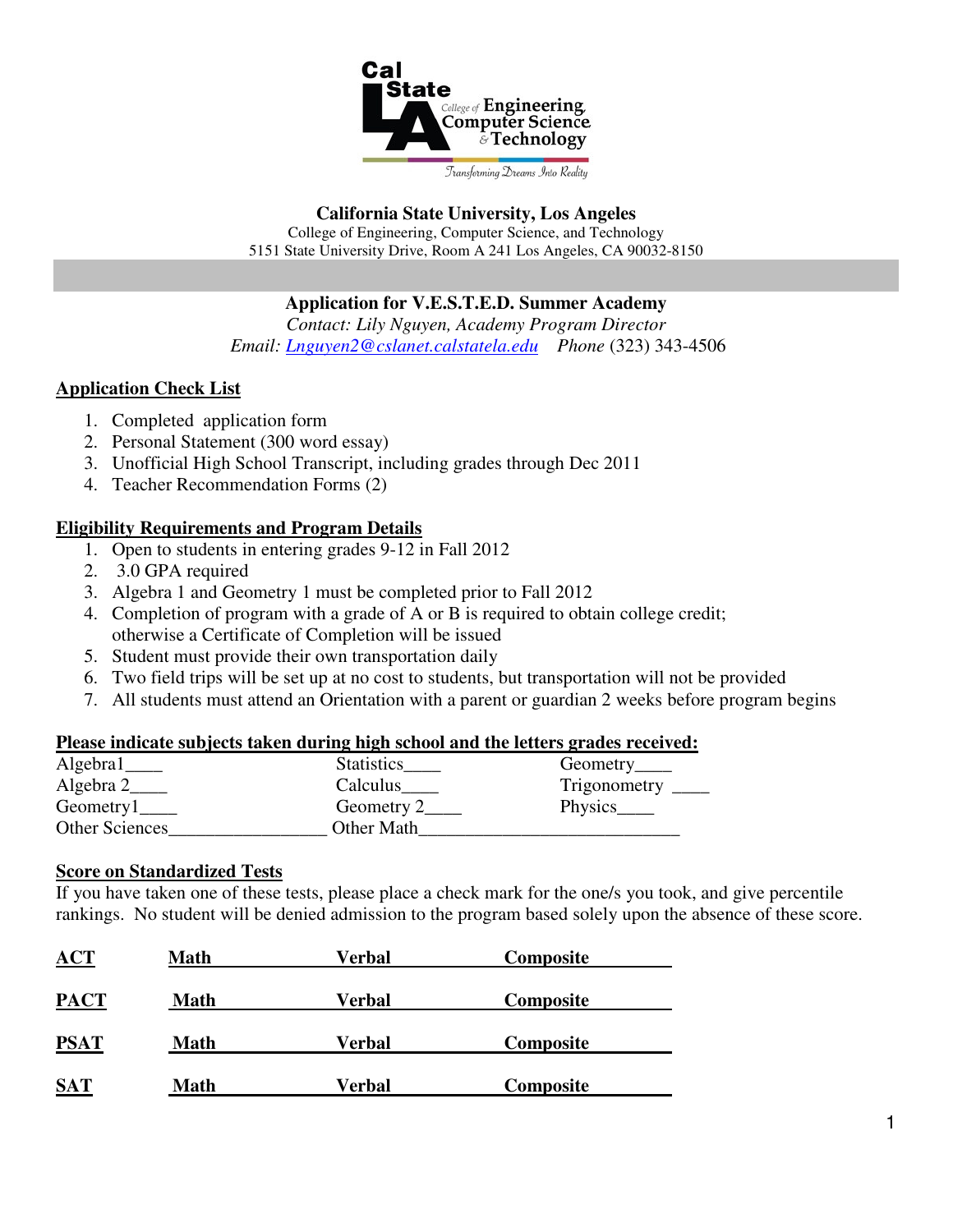

## **California State University, Los Angeles**

College of Engineering, Computer Science, and Technology 5151 State University Drive, Room A 241 Los Angeles, CA 90032-8150

## **Application for V.E.S.T.E.D. Summer Academy**

*Contact: Lily Nguyen, Academy Program Director Email: Lnguyen2@cslanet.calstatela.edu Phone* (323) 343-4506

## **Application Check List**

- 1. Completed application form
- 2. Personal Statement (300 word essay)
- 3. Unofficial High School Transcript, including grades through Dec 2011
- 4. Teacher Recommendation Forms (2)

# **Eligibility Requirements and Program Details**

- 1. Open to students in entering grades 9-12 in Fall 2012
- 2. 3.0 GPA required
- 3. Algebra 1 and Geometry 1 must be completed prior to Fall 2012
- 4. Completion of program with a grade of A or B is required to obtain college credit; otherwise a Certificate of Completion will be issued
- 5. Student must provide their own transportation daily
- 6. Two field trips will be set up at no cost to students, but transportation will not be provided
- 7. All students must attend an Orientation with a parent or guardian 2 weeks before program begins

### **Please indicate subjects taken during high school and the letters grades received:**

| Algebra1                    | <b>Statistics</b> | Geometry_____ |
|-----------------------------|-------------------|---------------|
| Algebra 2                   | Calculus          | Trigonometry  |
| $Geometry1$ <sub>____</sub> | Geometry 2        |               |
| Other Sciences              | Other Math        |               |

### **Score on Standardized Tests**

If you have taken one of these tests, please place a check mark for the one/s you took, and give percentile rankings. No student will be denied admission to the program based solely upon the absence of these score.

| ACT         | Math        | Verbal | Composite |  |
|-------------|-------------|--------|-----------|--|
| <b>PACT</b> | <b>Math</b> | Verbal | Composite |  |
| <b>PSAT</b> | <b>Math</b> | Verbal | Composite |  |
| <b>SAT</b>  | <b>Math</b> | Verbal | Composite |  |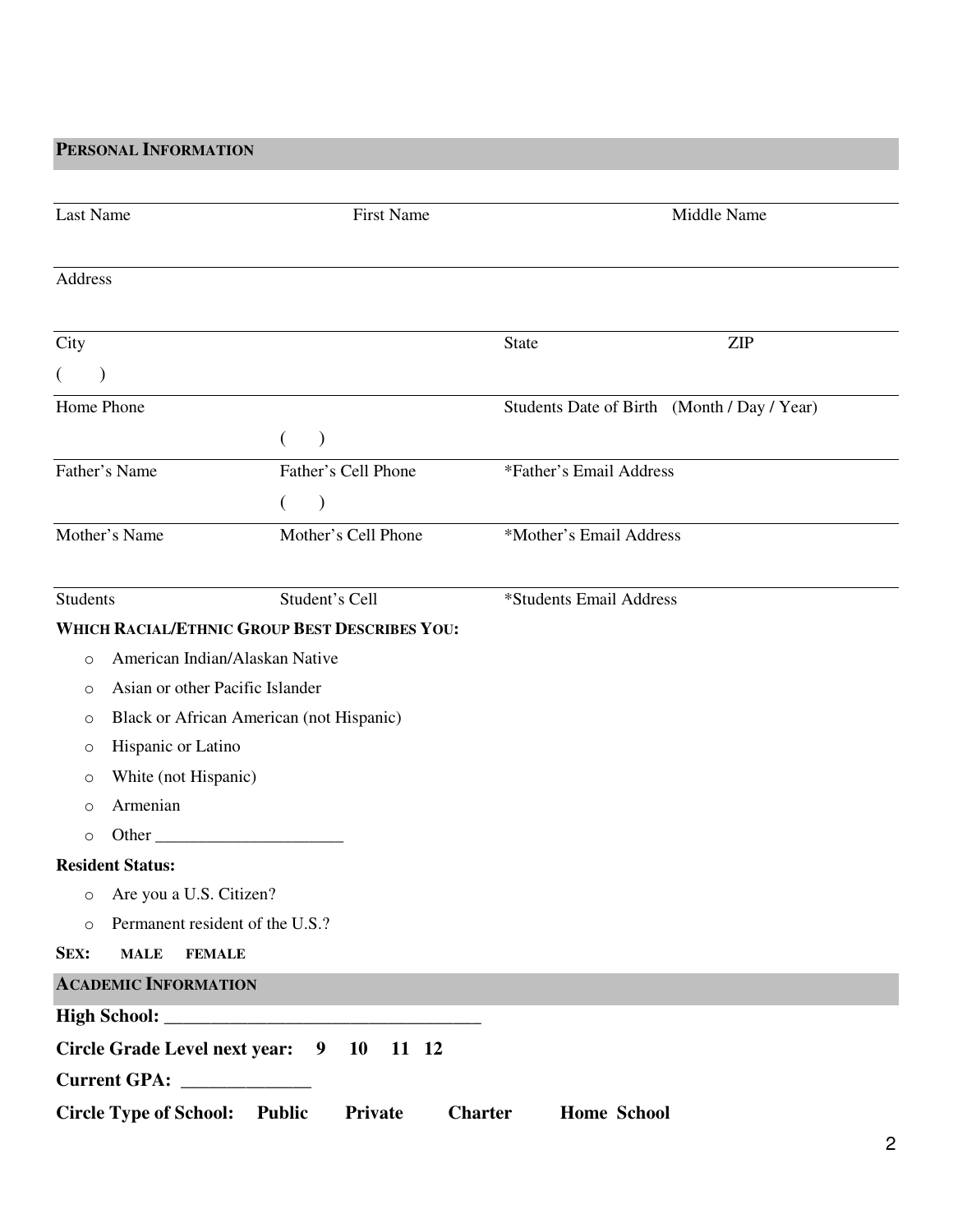**PERSONAL INFORMATION**

| Last Name                                  | <b>First Name</b>                                    | Middle Name                                 |
|--------------------------------------------|------------------------------------------------------|---------------------------------------------|
| <b>Address</b>                             |                                                      |                                             |
| City                                       |                                                      | <b>ZIP</b><br>State                         |
| $\left($<br>$\mathcal{F}$                  |                                                      |                                             |
| Home Phone                                 |                                                      | Students Date of Birth (Month / Day / Year) |
|                                            | €<br>$\lambda$                                       |                                             |
| Father's Name                              | Father's Cell Phone                                  | *Father's Email Address                     |
|                                            | $\mathcal{E}$<br>€                                   |                                             |
| Mother's Name                              | Mother's Cell Phone                                  | *Mother's Email Address                     |
| <b>Students</b>                            | Student's Cell                                       | *Students Email Address                     |
|                                            | <b>WHICH RACIAL/ETHNIC GROUP BEST DESCRIBES YOU:</b> |                                             |
| American Indian/Alaskan Native<br>O        |                                                      |                                             |
| Asian or other Pacific Islander<br>O       |                                                      |                                             |
| O                                          | Black or African American (not Hispanic)             |                                             |
| Hispanic or Latino<br>O                    |                                                      |                                             |
| White (not Hispanic)<br>O                  |                                                      |                                             |
| Armenian<br>$\circ$                        |                                                      |                                             |
| Other $\_\_$<br>$\circ$                    |                                                      |                                             |
| <b>Resident Status:</b>                    |                                                      |                                             |
| Are you a U.S. Citizen?<br>O               |                                                      |                                             |
| Permanent resident of the U.S.?<br>$\circ$ |                                                      |                                             |
| SEX:<br><b>MALE</b><br><b>FEMALE</b>       |                                                      |                                             |
| <b>ACADEMIC INFORMATION</b>                |                                                      |                                             |
|                                            |                                                      |                                             |
| Circle Grade Level next year: 9            | <b>10</b><br>11 12                                   |                                             |
|                                            |                                                      |                                             |
| <b>Circle Type of School:</b>              | <b>Public</b><br>Private                             | <b>Charter</b><br><b>Home School</b>        |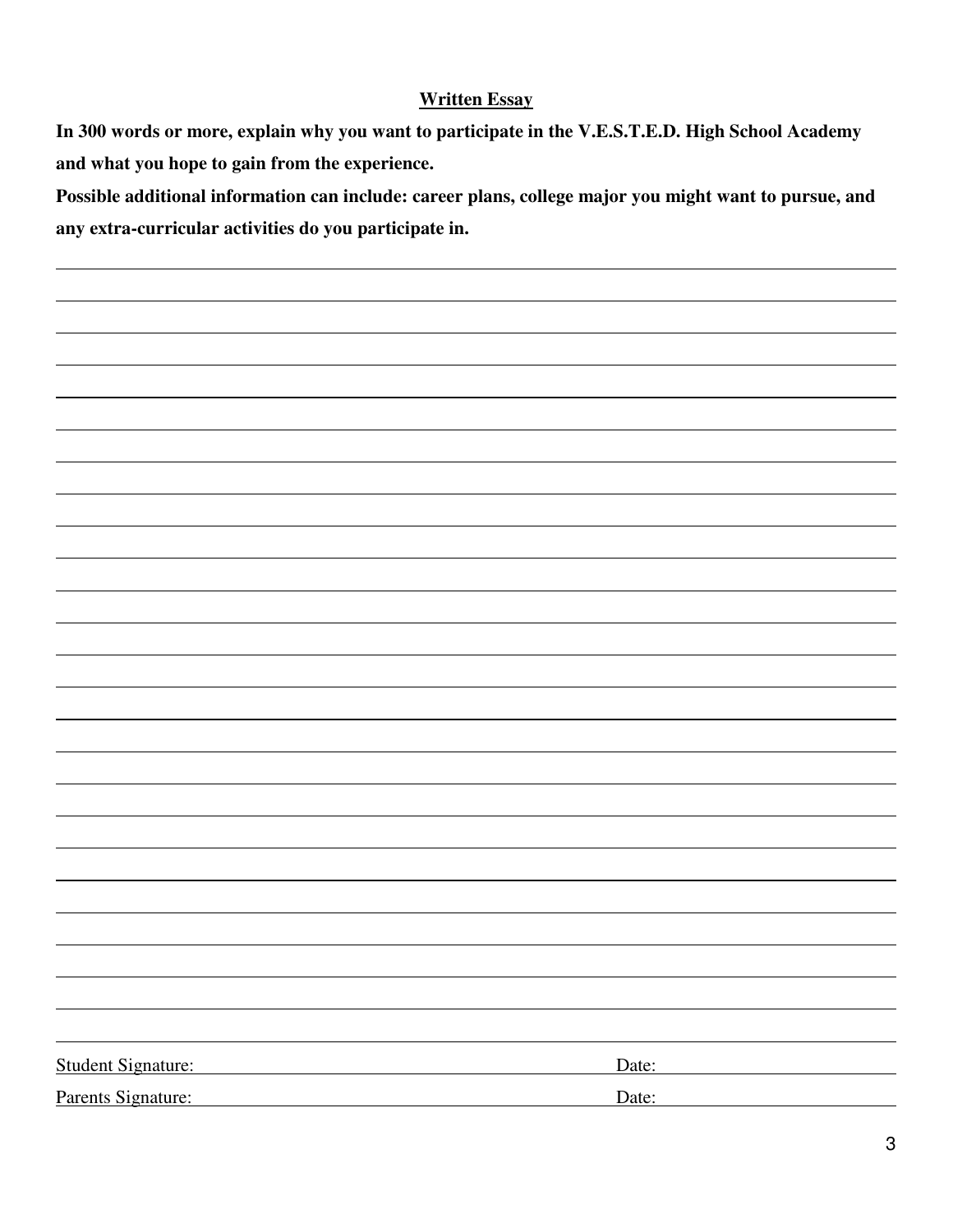## **Written Essay**

**In 300 words or more, explain why you want to participate in the V.E.S.T.E.D. High School Academy and what you hope to gain from the experience.**

**Possible additional information can include: career plans, college major you might want to pursue, and any extra-curricular activities do you participate in.**

Student Signature: Date: Date: Parents Signature: Date: Date: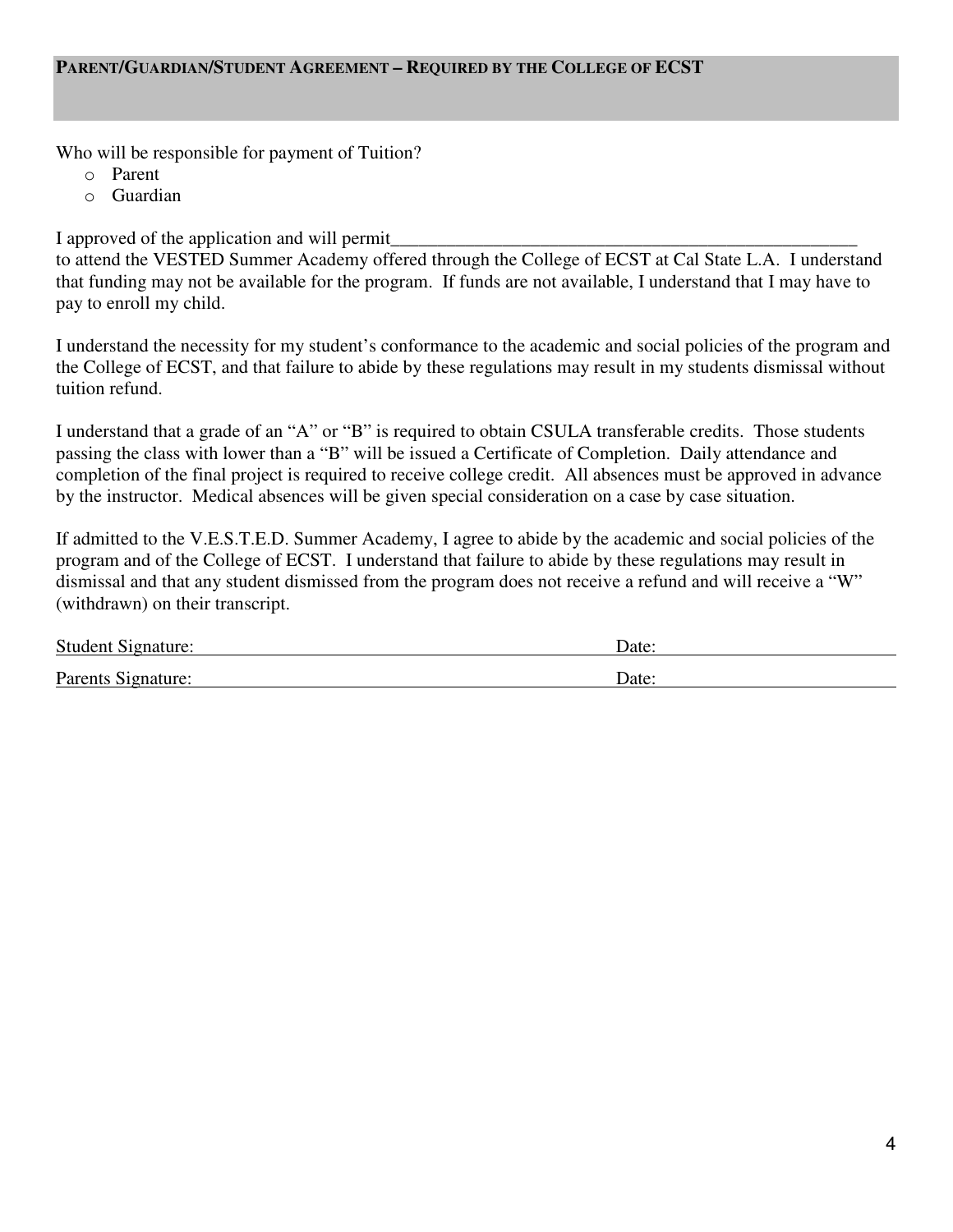#### **PARENT/GUARDIAN/STUDENT AGREEMENT – REQUIRED BY THE COLLEGE OF ECST**

Who will be responsible for payment of Tuition?

- o Parent
- o Guardian

I approved of the application and will permit\_

to attend the VESTED Summer Academy offered through the College of ECST at Cal State L.A. I understand that funding may not be available for the program. If funds are not available, I understand that I may have to pay to enroll my child.

I understand the necessity for my student's conformance to the academic and social policies of the program and the College of ECST, and that failure to abide by these regulations may result in my students dismissal without tuition refund.

I understand that a grade of an "A" or "B" is required to obtain CSULA transferable credits. Those students passing the class with lower than a "B" will be issued a Certificate of Completion. Daily attendance and completion of the final project is required to receive college credit. All absences must be approved in advance by the instructor. Medical absences will be given special consideration on a case by case situation.

If admitted to the V.E.S.T.E.D. Summer Academy, I agree to abide by the academic and social policies of the program and of the College of ECST. I understand that failure to abide by these regulations may result in dismissal and that any student dismissed from the program does not receive a refund and will receive a "W" (withdrawn) on their transcript.

| <b>Student Signature:</b> | Date: |
|---------------------------|-------|
| Parents Signature:        | Date: |